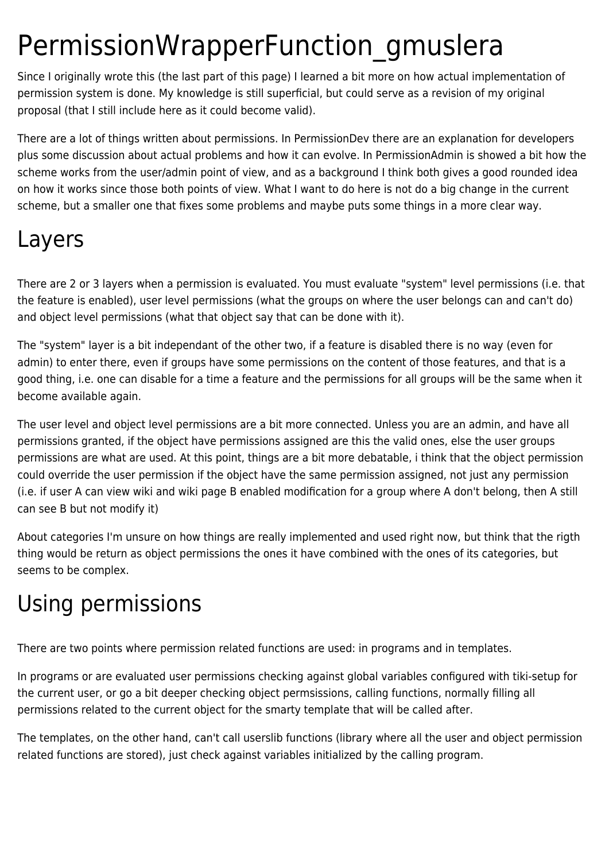# PermissionWrapperFunction\_gmuslera

Since I originally wrote this (the last part of this page) I learned a bit more on how actual implementation of permission system is done. My knowledge is still superficial, but could serve as a revision of my original proposal (that I still include here as it could become valid).

There are a lot of things written about permissions. In PermissionDev there are an explanation for developers plus some discussion about actual problems and how it can evolve. In PermissionAdmin is showed a bit how the scheme works from the user/admin point of view, and as a background I think both gives a good rounded idea on how it works since those both points of view. What I want to do here is not do a big change in the current scheme, but a smaller one that fixes some problems and maybe puts some things in a more clear way.

## Layers

There are 2 or 3 layers when a permission is evaluated. You must evaluate "system" level permissions (i.e. that the feature is enabled), user level permissions (what the groups on where the user belongs can and can't do) and object level permissions (what that object say that can be done with it).

The "system" layer is a bit independant of the other two, if a feature is disabled there is no way (even for admin) to enter there, even if groups have some permissions on the content of those features, and that is a good thing, i.e. one can disable for a time a feature and the permissions for all groups will be the same when it become available again.

The user level and object level permissions are a bit more connected. Unless you are an admin, and have all permissions granted, if the object have permissions assigned are this the valid ones, else the user groups permissions are what are used. At this point, things are a bit more debatable, i think that the object permission could override the user permission if the object have the same permission assigned, not just any permission (i.e. if user A can view wiki and wiki page B enabled modification for a group where A don't belong, then A still can see B but not modify it)

About categories I'm unsure on how things are really implemented and used right now, but think that the rigth thing would be return as object permissions the ones it have combined with the ones of its categories, but seems to be complex.

# Using permissions

There are two points where permission related functions are used: in programs and in templates.

In programs or are evaluated user permissions checking against global variables configured with tiki-setup for the current user, or go a bit deeper checking object permsissions, calling functions, normally filling all permissions related to the current object for the smarty template that will be called after.

The templates, on the other hand, can't call userslib functions (library where all the user and object permission related functions are stored), just check against variables initialized by the calling program.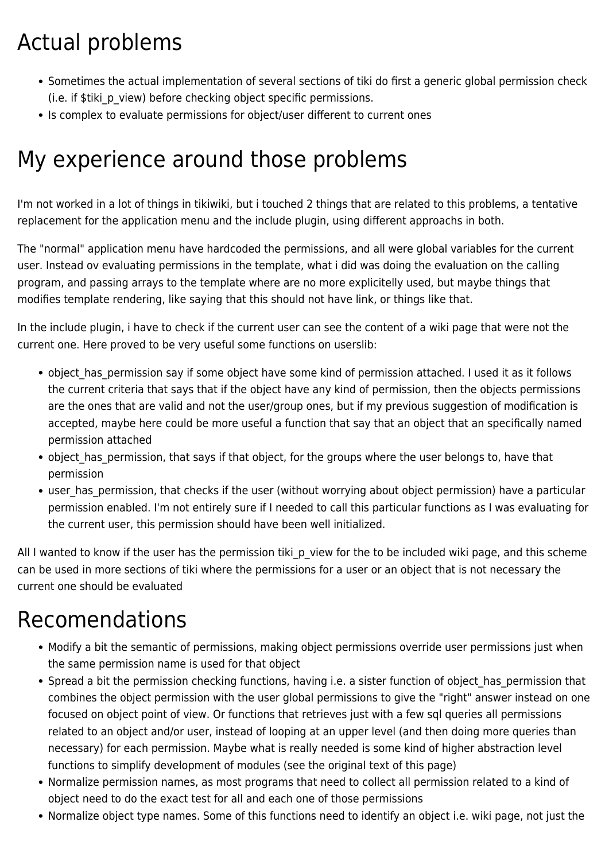# Actual problems

- Sometimes the actual implementation of several sections of tiki do first a generic global permission check (i.e. if \$tiki p view) before checking object specific permissions.
- Is complex to evaluate permissions for object/user different to current ones

## My experience around those problems

I'm not worked in a lot of things in tikiwiki, but i touched 2 things that are related to this problems, a tentative replacement for the application menu and the include plugin, using different approachs in both.

The "normal" application menu have hardcoded the permissions, and all were global variables for the current user. Instead ov evaluating permissions in the template, what i did was doing the evaluation on the calling program, and passing arrays to the template where are no more explicitelly used, but maybe things that modifies template rendering, like saying that this should not have link, or things like that.

In the include plugin, i have to check if the current user can see the content of a wiki page that were not the current one. Here proved to be very useful some functions on userslib:

- object has permission say if some object have some kind of permission attached. I used it as it follows the current criteria that says that if the object have any kind of permission, then the objects permissions are the ones that are valid and not the user/group ones, but if my previous suggestion of modification is accepted, maybe here could be more useful a function that say that an object that an specifically named permission attached
- object has permission, that says if that object, for the groups where the user belongs to, have that permission
- user has permission, that checks if the user (without worrying about object permission) have a particular permission enabled. I'm not entirely sure if I needed to call this particular functions as I was evaluating for the current user, this permission should have been well initialized.

All I wanted to know if the user has the permission tiki p view for the to be included wiki page, and this scheme can be used in more sections of tiki where the permissions for a user or an object that is not necessary the current one should be evaluated

#### Recomendations

- Modify a bit the semantic of permissions, making object permissions override user permissions just when the same permission name is used for that object
- Spread a bit the permission checking functions, having i.e. a sister function of object has permission that combines the object permission with the user global permissions to give the "right" answer instead on one focused on object point of view. Or functions that retrieves just with a few sql queries all permissions related to an object and/or user, instead of looping at an upper level (and then doing more queries than necessary) for each permission. Maybe what is really needed is some kind of higher abstraction level functions to simplify development of modules (see the original text of this page)
- Normalize permission names, as most programs that need to collect all permission related to a kind of object need to do the exact test for all and each one of those permissions
- Normalize object type names. Some of this functions need to identify an object i.e. wiki page, not just the